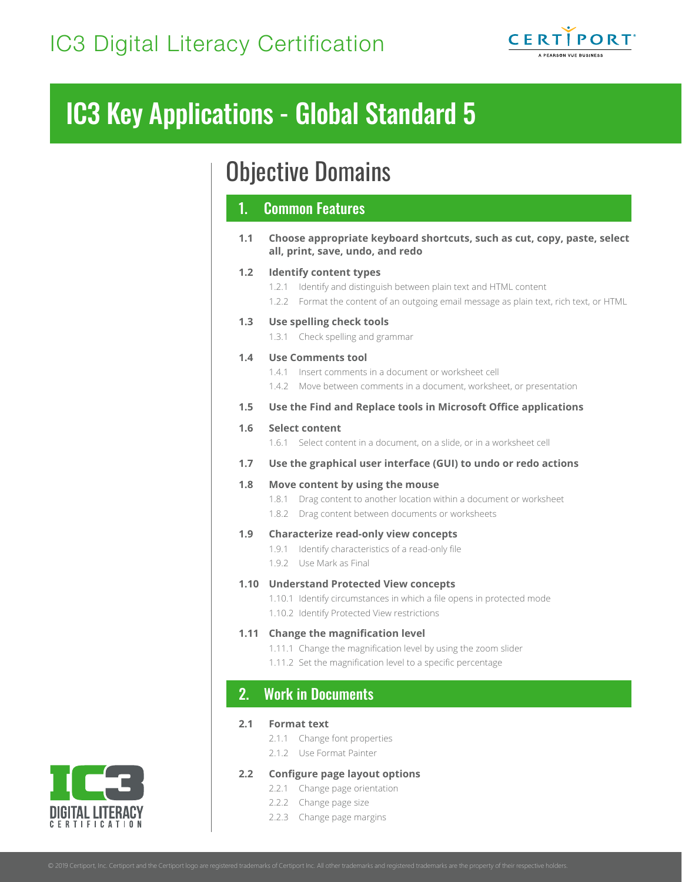

# IC3 Key Applications - Global Standard 5

# Objective Domains

# 1. Common Features

**1.1 Choose appropriate keyboard shortcuts, such as cut, copy, paste, select all, print, save, undo, and redo**

### **1.2 Identify content types**

1.2.1 Identify and distinguish between plain text and HTML content 1.2.2 Format the content of an outgoing email message as plain text, rich text, or HTML **1.3 Use spelling check tools** 1.3.1 Check spelling and grammar

### **1.4 Use Comments tool**

- 1.4.1 Insert comments in a document or worksheet cell
- 1.4.2 Move between comments in a document, worksheet, or presentation
- **1.5 Use the Find and Replace tools in Microsoft Office applications**

### **1.6 Select content**

1.6.1 Select content in a document, on a slide, or in a worksheet cell

**1.7 Use the graphical user interface (GUI) to undo or redo actions**

### **1.8 Move content by using the mouse**

- 1.8.1 Drag content to another location within a document or worksheet
- 1.8.2 Drag content between documents or worksheets

### **1.9 Characterize read-only view concepts**

- 1.9.1 Identify characteristics of a read-only file
- 1.9.2 Use Mark as Final

### **1.10 Understand Protected View concepts**

1.10.1 Identify circumstances in which a file opens in protected mode 1.10.2 Identify Protected View restrictions

### **1.11 Change the magnification level**

- 1.11.1 Change the magnification level by using the zoom slider
- 1.11.2 Set the magnification level to a specific percentage

# 2. Work in Documents

#### **2.1 Format text**

- 2.1.1 Change font properties
- 2.1.2 Use Format Painter

### **2.2 Configure page layout options**

- 2.2.1 Change page orientation
- 2.2.2 Change page size
- 2.2.3 Change page margins

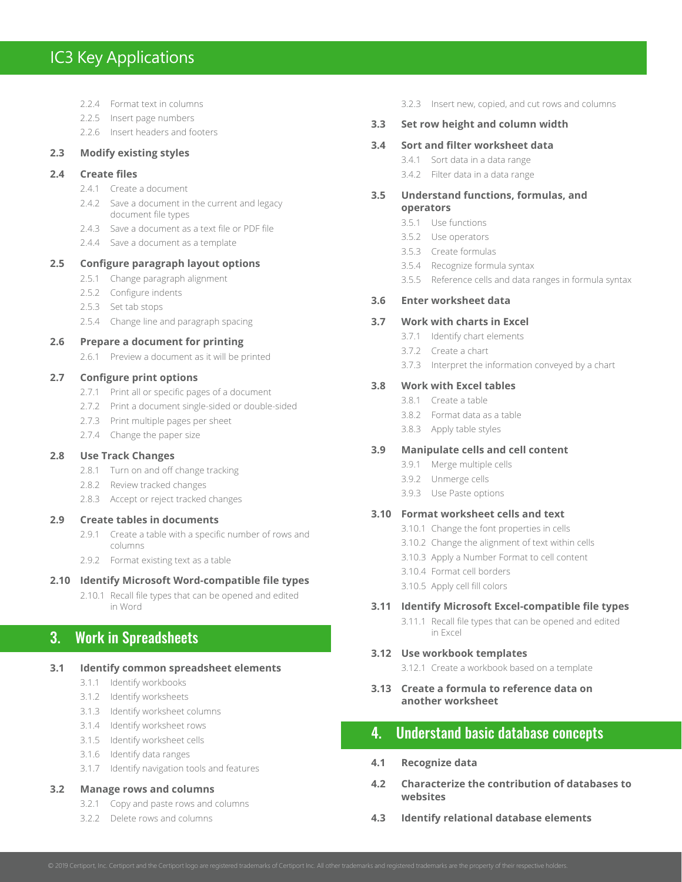# IC3 Key Applications

2.2.4 Format text in columns

2.2.5 Insert page numbers 2.2.6 Insert headers and footers **2.3 Modify existing styles 2.4 Create files** 2.4.1 Create a document 2.4.2 Save a document in the current and legacy document file types 2.4.3 Save a document as a text file or PDF file 2.4.4 Save a document as a template **2.5 Configure paragraph layout options** 2.5.1 Change paragraph alignment 2.5.2 Configure indents 2.5.3 Set tab stops 2.5.4 Change line and paragraph spacing **2.6 Prepare a document for printing**

2.6.1 Preview a document as it will be printed

#### **2.7 Configure print options**

- 2.7.1 Print all or specific pages of a document
- 2.7.2 Print a document single-sided or double-sided
- 2.7.3 Print multiple pages per sheet
- 2.7.4 Change the paper size

#### **2.8 Use Track Changes**

- 2.8.1 Turn on and off change tracking
- 2.8.2 Review tracked changes
- 2.8.3 Accept or reject tracked changes

#### **2.9 Create tables in documents**

- 2.9.1 Create a table with a specific number of rows and columns
- 2.9.2 Format existing text as a table

#### **2.10 Identify Microsoft Word-compatible file types**

2.10.1 Recall file types that can be opened and edited in Word

# 3. Work in Spreadsheets

#### **3.1 Identify common spreadsheet elements**

- 3.1.1 Identify workbooks
- 3.1.2 Identify worksheets
- 3.1.3 Identify worksheet columns
- 3.1.4 Identify worksheet rows
- 3.1.5 Identify worksheet cells
- 3.1.6 Identify data ranges
- 3.1.7 Identify navigation tools and features

#### **3.2 Manage rows and columns**

- 3.2.1 Copy and paste rows and columns
- 3.2.2 Delete rows and columns

3.2.3 Insert new, copied, and cut rows and columns

#### **3.3 Set row height and column width**

#### **3.4 Sort and filter worksheet data**

- 3.4.1 Sort data in a data range
- 3.4.2 Filter data in a data range
- **3.5 Understand functions, formulas, and operators**
	- 3.5.1 Use functions
	- 3.5.2 Use operators
	- 3.5.3 Create formulas
	- 3.5.4 Recognize formula syntax
	- 3.5.5 Reference cells and data ranges in formula syntax

#### **3.6 Enter worksheet data**

#### **3.7 Work with charts in Excel**

- 3.7.1 Identify chart elements
- 3.7.2 Create a chart
- 3.7.3 Interpret the information conveyed by a chart

#### **3.8 Work with Excel tables**

- 3.8.1 Create a table
	- 3.8.2 Format data as a table
	- 3.8.3 Apply table styles

#### **3.9 Manipulate cells and cell content**

- 3.9.1 Merge multiple cells
- 3.9.2 Unmerge cells
- 3.9.3 Use Paste options

#### **3.10 Format worksheet cells and text**

- 3.10.1 Change the font properties in cells
- 3.10.2 Change the alignment of text within cells
- 3.10.3 Apply a Number Format to cell content
- 3.10.4 Format cell borders
- 3.10.5 Apply cell fill colors

#### **3.11 Identify Microsoft Excel-compatible file types**

3.11.1 Recall file types that can be opened and edited in Excel

#### **3.12 Use workbook templates**

3.12.1 Create a workbook based on a template

**3.13 Create a formula to reference data on another worksheet**

# 4. Understand basic database concepts

- **4.1 Recognize data**
- **4.2 Characterize the contribution of databases to websites**
- **4.3 Identify relational database elements**